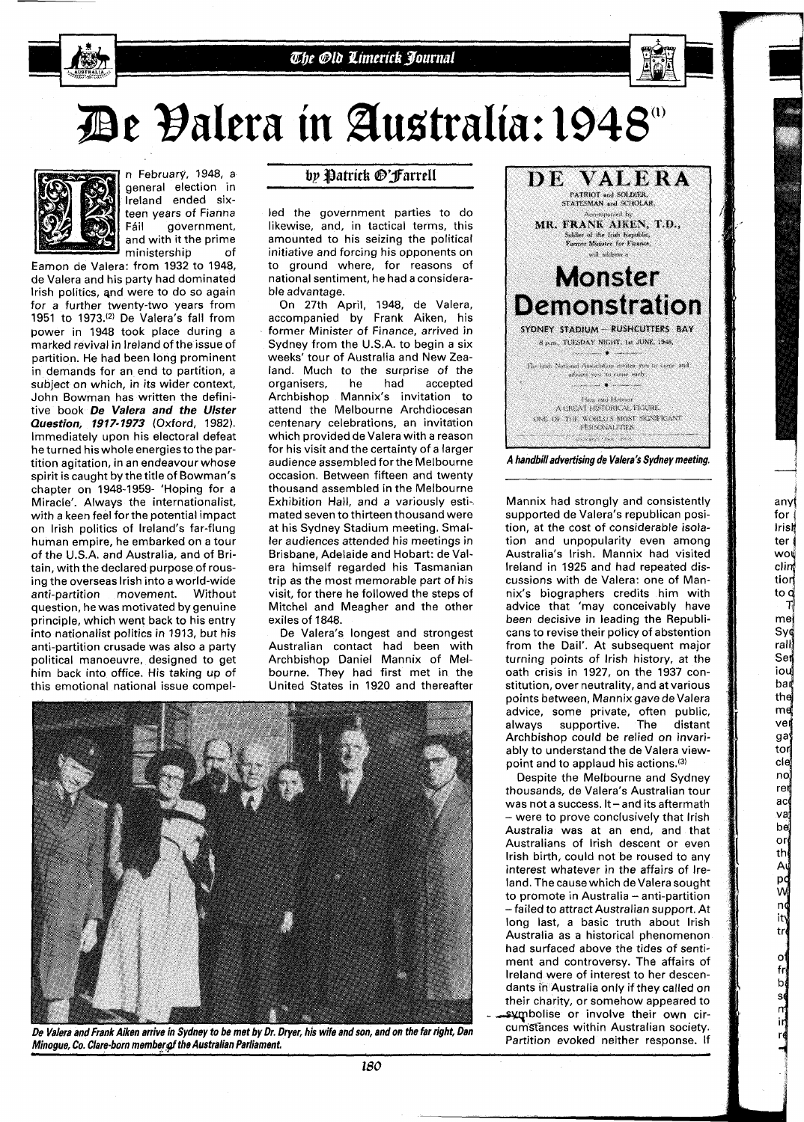

## De Valera in Australia: 1948 a



n February, 1948, a general election in lreland ended sixteen years of Fianna<br>Fáil **a** overnment. government, and with it the prime ministership of

Eamon de Valera: from 1932 to 1948, de Valera and his party had dominated lrish politics, and were to do so again for a further twenty-two years from 1951 to 1973.<sup>(2)</sup> De Valera's fall from power in 1948 took place during a marked revival in lreland of the issue of partition. He had been long prominent in demands for an end to partition, a subject on which, in its wider context, John Bowman has written the definitive book **De Valera and the Ulster Question, 1917- 1973** (Oxford, 1982). Immediately upon his electoral defeat he turned his whole energies to the partition agitation, in an endeavour whose spirit is caught by the title of Bowman's chapter on 1948-1959- 'Hoping for a Miracle'. Always the internationalist, with a keen feel for the potential impact on lrish politics of Ireland's far-flung human empire, he embarked on a tour of the U.S.A. and Australia, and of Britain, with the declared purpose of rousing the overseas lrish into a world-wide anti-partition movement. Without question, he was motivated by genuine principle, which went back to his entry into nationalist politics in 1913, but his anti-partition crusade was also a party political manoeuvre, designed to get him back into office. His taking up of this emotional national issue compel-

## by Patrick @'Farrell

led the government parties to do likewise, and, in tactical terms, this amounted to his seizing the political initiative and forcing his opponents on to ground where, for reasons of national sentiment, he had a considerable advantage.

On 27th April, 1948, de Valera, accompanied by Frank Aiken, his former Minister of Finance, arrived in Sydney from the U.S.A. to begin a six weeks' tour of Australia and New Zealand. Much to the surprise of the<br>organisers. The had accepted organisers, he<br>Archbishop Man Mannix's invitation to attend the Melbourne Archdiocesan centenary celebrations, an invitation which provided de Valera with a reason for his visit and the certainty of a larger audience assembled forthe Melbourne occasion. Between fifteen and twenty thousand assembled in the Melbourne Exhibition Hall, and a variously estimated seven to thirteen thousand were at his Sydney Stadium meeting. Smaller audiences attended his meetings in Brisbane, Adelaide and Hobart: de Valera himself regarded his Tasmanian trip as the most memorable part of his visit, for there he followed the steps of Mitchel and Meagher and the other exiles of 1848.

De Valera's longest and strongest Australian contact had been with Archbishop Daniel Mannix of Melbourne. They had first met in the United States in 1920 and thereafter



De Valera and Frank Aiken arrive in Sydney to be met by Dr. Dryer, his wife and son, and on the far right, Dan **Minogue, Co. Clare-born member of the Australian Parliament.** 



Mannix had strongly and consistently supported de Valera's republican position, at the cost of considerable isolation and unpopularity even among Australia's Irish. Mannix had visited lreland in 1925 and had repeated discussions with de Valera: one of Mannix's biographers credits him with advice that 'may conceivably have been decisive in leading the Republicans to revise their policy of abstention from the Dail'. At subsequent major turning points of lrish history, at the oath crisis in 1927, on the 1937 constitution, over neutrality, and at various points between, Mannix gave de Valera advice, some private, often public, always supportive. The distant Archbishop could be relied on invariably to understand the de Valera viewpoint and to applaud his actions.(3)

**1**  any{ for 1 Iris4 ter (

wot clim tion to o  $\mathsf T$  $me<sub>i</sub>$ Syd rall Ser iou ban the md ver ga tor cie no ren ac мa  $b$ e or th A p¢ w nç ity  $tr$ 

> $\mathbf{o}$ fr<br>bļ

se<br>m<br>ir

Despite the Melbourne and Sydney thousands, de Valera's Australian tour was not a success. It  $-$  and its aftermath - were to prove conclusively that lrish Australia was at an end, and that Australians of lrish descent ot even lrish birth, could not be roused to any interest whatever in the affairs of Ireland. The cause which de Valera sought to promote in Australia - anti-partition -failed to attract Australian support. At long last, a basic truth about lrish Australia as a historical phenomenon had surfaced above the tides of sentiment and controversy. The affairs of lreland were of interest to her descendants in Australia only if they called on their charity, or somehow appeared to symbolise or involve their own circumstances within Australian society. Partition evoked neither response. If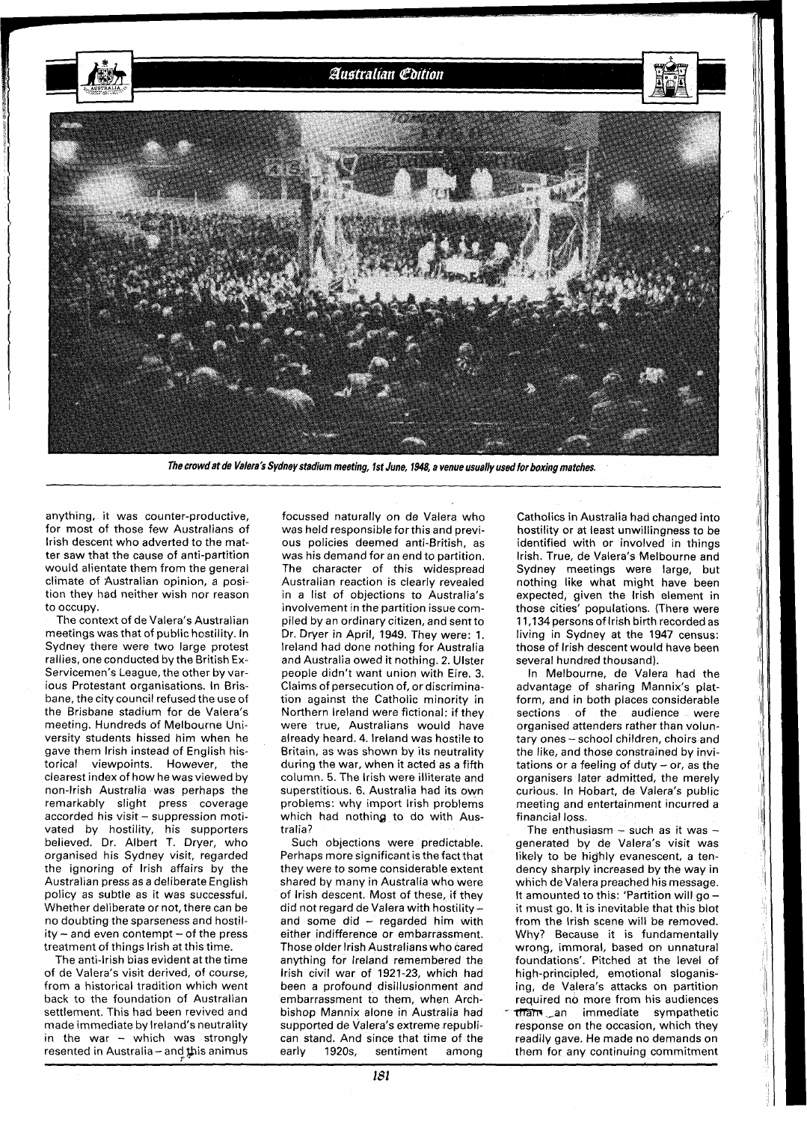

**The crowd at de Valera's Sydney stadium meeting, 1st June, 1948, a venue usually used for boxing matches.** 

anything, it was counter-productive, for most of those few Australians of lrish descent who adverted to the matter saw that the cause of anti-partition would alientate them from the general climate of Australian opinion, a position they had neither wish nor reason to occupy.

The context of de Valera's Australian meetings was that of public hostility. In Sydney there were two large protest rallies, one conducted by the British Ex-Servicemen's League, the other by various Protestant organisations. In Brisbane, the city council refused the use of the Brisbane stadium for de Valera's meeting. Hundreds of Melbourne University students hissed him when he gave them lrish instead of English historical viewpoints. However, the clearest index of how he was viewed by non-Irish Australia was perhaps the remarkably slight press coverage accorded his visit - suppression motivated by hostility, his supporters believed. Dr. Albert T. Dryer, who organised his Sydney visit, regarded the ignoring of lrish affairs by the Australian press as a deliberate English policy as subtle as it was successful. Whether deliberate or not, there can be no doubting the sparseness and hostility - and even contempt - of the press treatment of things lrish at this time.

The anti-Irish bias evident at the time of de Valera's visit derived, of course, from a historical tradition which went back to the foundation of Australian settlement. This had been revived and made immediate by Ireland's neutrality in the war - which was strongly resented in Australia - and this animus focussed naturally on de Valera who was held responsible forthis and previous policies deemed anti-British, as was his demand for an end to partition. The character of this widespread Australian reaction is clearly revealed in a list of objections to Australia's involvement in the partition issue compiled by an ordinary citizen, and sent to Dr. Dryer in April, 1949. They were: 1. lreland had done nothing for Australia and Australia owed it nothing. 2. Ulster people didn't want union with Eire. 3. Claims of persecution of, or discrimination against the Catholic minority in Northern lreland were fictional: if they were true, Australians would have already heard. 4. lreland was hostile to Britain, as was shown by its neutrality during the war, when it acted as a fifth column. 5. The lrish were illiterate and superstitious. 6. Australia had its own problems: why import lrish problems which had nothing to do with Australia?

Such objections were predictable. Perhaps more significant is the fact that they were to some considerable extent shared by many in Australia who were of lrish descent. Most of these, if they did not regard de Valera with hostility and some did - regarded him with either indifference or embarrassment. Those older lrish Australians who cared anything for lreland remembered the lrish civil war of 1921-23, which had been a profound disillusionment and embarrassment to them, when Archbishop Mannix alone in Australia had supported de Valera's extreme republican stand. And since that time of the early 1920s, sentiment among

Catholics in Australia had changed into hostility or at least unwillingness to be identified with or involved in things Irish. True, de Valera's Melbourne and Sydney meetings were large, but nothing like what might have been expected, given the lrish element in those cities' populations. (There were 11,134 persons of lrish birth recorded as living in Sydney at the 1947 census: those of lrish descent would have been several hundred thousand).

In Melbourne, de Valera had the advantage of sharing Mannix's platform, and in both places considerable sections of the audience were organised attenders rather than voluntary ones - school children, choirs and the like, and those constrained by invitations or a feeling of duty  $-$  or, as the organisers later admitted, the merely curious. In Hobart, de Valera's public meeting and entertainment incurred a financial loss.

The enthusiasm - such as it was - generated by de Valera's visit was likely to be highly evanescent, a tendency sharply increased by the way in which de Valera preached his message.<br>It amounted to this: 'Partition will go – it must go. It is inevitable that this blot from the lrish scene will be removed. Why? Because it is fundamentally wrong, immoral, based on unnatural foundations'. Pitched at the level of high-principled, emotional sloganising, de Valera's attacks on partition required no more from his audiences tham , an immediate sympathetic response on the occasion, which they readily gave. He made no demands on them for any continuing commitment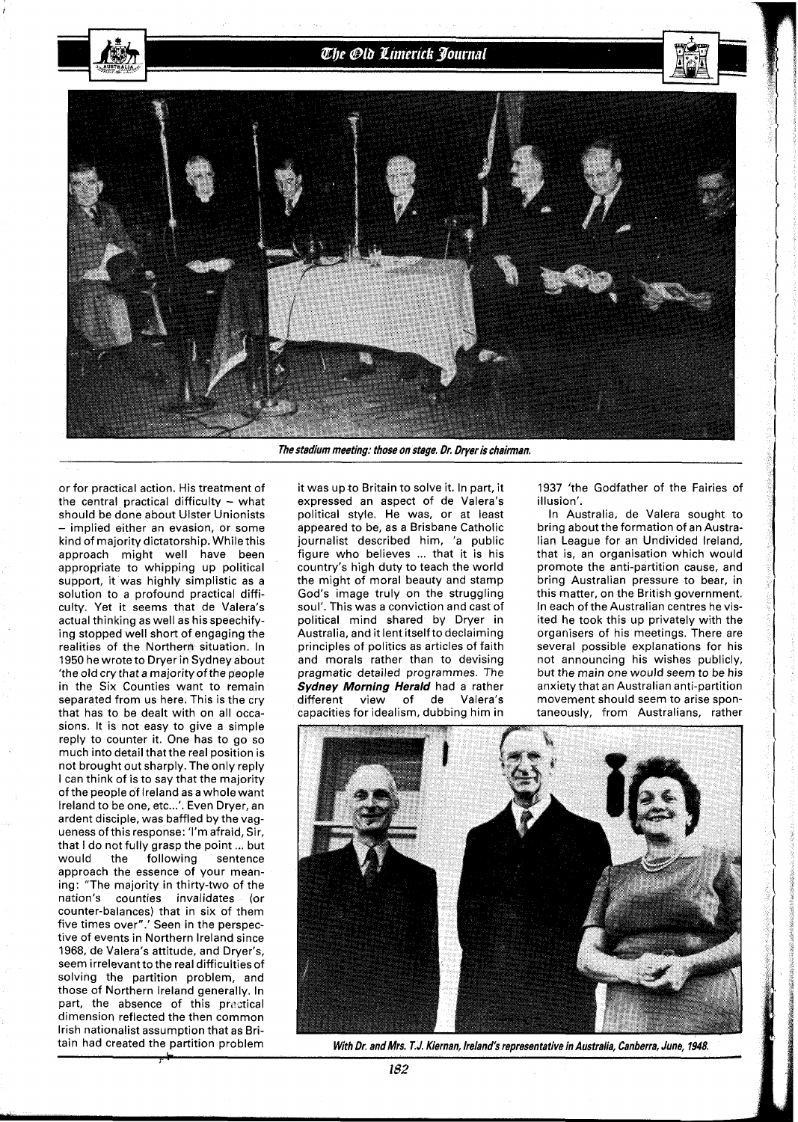## The Old Limerick Journal



or for practical action. His treatment of the central practical difficulty  $-$  what should be done about Ulster Unionists - implied either an evasion, or some kind of majority dictatorship. While this approach might well have been appropriate to whipping up political support, it was highly simplistic as a solution to a profound practical difficulty. Yet it seems that de Valera's actual thinking as well as hisspeechifying stopped well short of engaging the realities of the Northern situation. In 1950 he wrote to Dryer in Sydney about 'the old cry that a majority of the people in the Six Counties want to remain separated from us here. This is the cry that has to be dealt with on all occasions. It is not easy to give a simple reply to counter it. One has to go so much into detail that the real position is not brought out sharply. The only reply I can think of is to say that the majority of the people of Ireland as a whole want Ireland to be one, etc...'. Even Dryer, an ardent disciple, was baffled by the vagueness of this response: 'I'm afraid, Sir, that I do not fully grasp the point ... but would the following sentence approach the essence of your meaning: "The majority in thirty-two of the nation's counties invalidates (or counter-balances) that in six of them five times over".' Seen in the perspective of events in Northern Ireland since 1968, de Valera's attitude, and Dryer's, seem irrelevant to the real difficulties of solving the partition problem, and those of Northern Ireland generally. In part, the absence of this practical dimension reflected the then common Irish nationalist assumption that as Britain had created the partition problem

**The stadium meeting: those on stage. Dr. Dryer is chairman.** 

it was up to Britain to solve it. In part, it expressed an aspect of de Valera's political style. He was, or at least appeared to be, as a Brisbane Catholic journalist described him, 'a public figure who believes ... that it is his country's high duty to teach the world the might of moral beauty and stamp God's image truly on the struggling soul'. This was a conviction and cast of political mind shared by Dryer in Australia, and it lent itselfto declaiming principles of politics as articles of faith and morals rather than to devising pragmatic detailed programmes. The **Sydney Morning Herald** had a rather different view of de Valera's capacities for idealism, dubbing him in

1937 'the Godfather of the Fairies of illusion'.

In Australia, de Valera sought to bring about the formation of an Australian League for an Undivided Ireland, that is, an organisation which would promote the anti-partition cause, and bring Australian pressure to bear, in this matter, on the British government. In each of the Australian centres he visited he took this up privately with the organisers of his meetings. There are several possible explanations for his not announcing his wishes publicly, but the main one would seem to be his anxiety that an Australian anti-partition movement should seem to arise spontaneously, from Australians, rather



**With Dr. and Mrs. T. J. Kiernan, Ireland's representative in Australia, Canberra, June, 1948.**